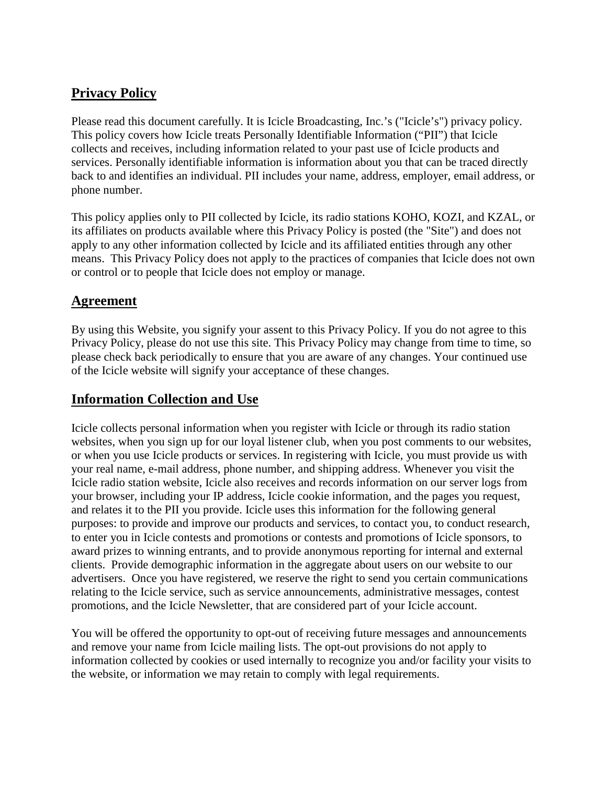# **Privacy Policy**

Please read this document carefully. It is Icicle Broadcasting, Inc.'s ("Icicle's") privacy policy. This policy covers how Icicle treats Personally Identifiable Information ("PII") that Icicle collects and receives, including information related to your past use of Icicle products and services. Personally identifiable information is information about you that can be traced directly back to and identifies an individual. PII includes your name, address, employer, email address, or phone number.

This policy applies only to PII collected by Icicle, its radio stations KOHO, KOZI, and KZAL, or its affiliates on products available where this Privacy Policy is posted (the "Site") and does not apply to any other information collected by Icicle and its affiliated entities through any other means. This Privacy Policy does not apply to the practices of companies that Icicle does not own or control or to people that Icicle does not employ or manage.

#### **Agreement**

By using this Website, you signify your assent to this Privacy Policy. If you do not agree to this Privacy Policy, please do not use this site. This Privacy Policy may change from time to time, so please check back periodically to ensure that you are aware of any changes. Your continued use of the Icicle website will signify your acceptance of these changes.

# **Information Collection and Use**

Icicle collects personal information when you register with Icicle or through its radio station websites, when you sign up for our loyal listener club, when you post comments to our websites, or when you use Icicle products or services. In registering with Icicle, you must provide us with your real name, e-mail address, phone number, and shipping address. Whenever you visit the Icicle radio station website, Icicle also receives and records information on our server logs from your browser, including your IP address, Icicle cookie information, and the pages you request, and relates it to the PII you provide. Icicle uses this information for the following general purposes: to provide and improve our products and services, to contact you, to conduct research, to enter you in Icicle contests and promotions or contests and promotions of Icicle sponsors, to award prizes to winning entrants, and to provide anonymous reporting for internal and external clients. Provide demographic information in the aggregate about users on our website to our advertisers. Once you have registered, we reserve the right to send you certain communications relating to the Icicle service, such as service announcements, administrative messages, contest promotions, and the Icicle Newsletter, that are considered part of your Icicle account.

You will be offered the opportunity to opt-out of receiving future messages and announcements and remove your name from Icicle mailing lists. The opt-out provisions do not apply to information collected by cookies or used internally to recognize you and/or facility your visits to the website, or information we may retain to comply with legal requirements.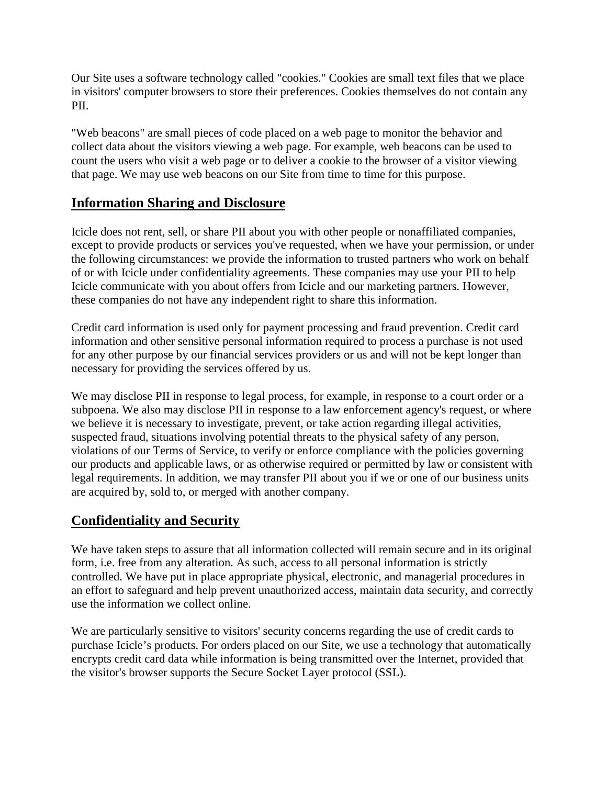Our Site uses a software technology called "cookies." Cookies are small text files that we place in visitors' computer browsers to store their preferences. Cookies themselves do not contain any PII.

"Web beacons" are small pieces of code placed on a web page to monitor the behavior and collect data about the visitors viewing a web page. For example, web beacons can be used to count the users who visit a web page or to deliver a cookie to the browser of a visitor viewing that page. We may use web beacons on our Site from time to time for this purpose.

#### **Information Sharing and Disclosure**

Icicle does not rent, sell, or share PII about you with other people or nonaffiliated companies, except to provide products or services you've requested, when we have your permission, or under the following circumstances: we provide the information to trusted partners who work on behalf of or with Icicle under confidentiality agreements. These companies may use your PII to help Icicle communicate with you about offers from Icicle and our marketing partners. However, these companies do not have any independent right to share this information.

Credit card information is used only for payment processing and fraud prevention. Credit card information and other sensitive personal information required to process a purchase is not used for any other purpose by our financial services providers or us and will not be kept longer than necessary for providing the services offered by us.

We may disclose PII in response to legal process, for example, in response to a court order or a subpoena. We also may disclose PII in response to a law enforcement agency's request, or where we believe it is necessary to investigate, prevent, or take action regarding illegal activities, suspected fraud, situations involving potential threats to the physical safety of any person, violations of our Terms of Service, to verify or enforce compliance with the policies governing our products and applicable laws, or as otherwise required or permitted by law or consistent with legal requirements. In addition, we may transfer PII about you if we or one of our business units are acquired by, sold to, or merged with another company.

# **Confidentiality and Security**

We have taken steps to assure that all information collected will remain secure and in its original form, i.e. free from any alteration. As such, access to all personal information is strictly controlled. We have put in place appropriate physical, electronic, and managerial procedures in an effort to safeguard and help prevent unauthorized access, maintain data security, and correctly use the information we collect online.

We are particularly sensitive to visitors' security concerns regarding the use of credit cards to purchase Icicle's products. For orders placed on our Site, we use a technology that automatically encrypts credit card data while information is being transmitted over the Internet, provided that the visitor's browser supports the Secure Socket Layer protocol (SSL).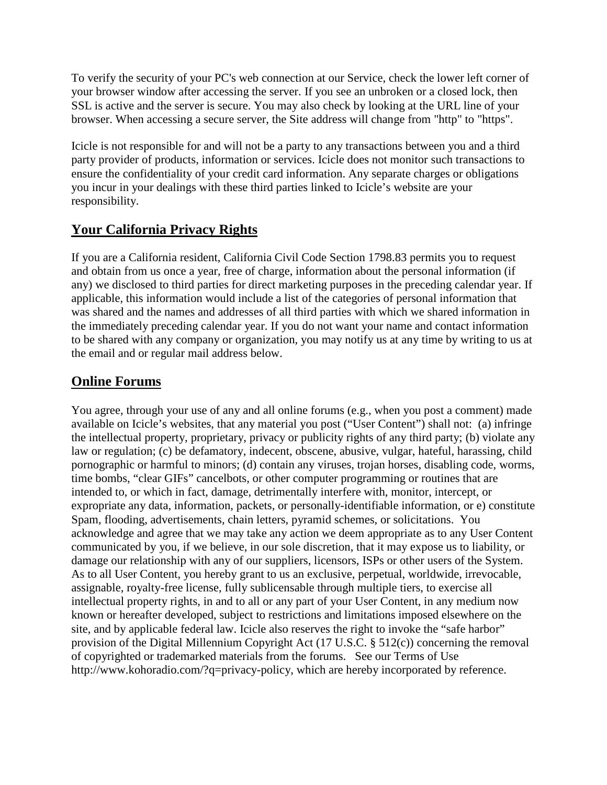To verify the security of your PC's web connection at our Service, check the lower left corner of your browser window after accessing the server. If you see an unbroken or a closed lock, then SSL is active and the server is secure. You may also check by looking at the URL line of your browser. When accessing a secure server, the Site address will change from "http" to "https".

Icicle is not responsible for and will not be a party to any transactions between you and a third party provider of products, information or services. Icicle does not monitor such transactions to ensure the confidentiality of your credit card information. Any separate charges or obligations you incur in your dealings with these third parties linked to Icicle's website are your responsibility.

#### **Your California Privacy Rights**

If you are a California resident, California Civil Code Section 1798.83 permits you to request and obtain from us once a year, free of charge, information about the personal information (if any) we disclosed to third parties for direct marketing purposes in the preceding calendar year. If applicable, this information would include a list of the categories of personal information that was shared and the names and addresses of all third parties with which we shared information in the immediately preceding calendar year. If you do not want your name and contact information to be shared with any company or organization, you may notify us at any time by writing to us at the email and or regular mail address below.

# **Online Forums**

You agree, through your use of any and all online forums (e.g., when you post a comment) made available on Icicle's websites, that any material you post ("User Content") shall not: (a) infringe the intellectual property, proprietary, privacy or publicity rights of any third party; (b) violate any law or regulation; (c) be defamatory, indecent, obscene, abusive, vulgar, hateful, harassing, child pornographic or harmful to minors; (d) contain any viruses, trojan horses, disabling code, worms, time bombs, "clear GIFs" cancelbots, or other computer programming or routines that are intended to, or which in fact, damage, detrimentally interfere with, monitor, intercept, or expropriate any data, information, packets, or personally-identifiable information, or e) constitute Spam, flooding, advertisements, chain letters, pyramid schemes, or solicitations. You acknowledge and agree that we may take any action we deem appropriate as to any User Content communicated by you, if we believe, in our sole discretion, that it may expose us to liability, or damage our relationship with any of our suppliers, licensors, ISPs or other users of the System. As to all User Content, you hereby grant to us an exclusive, perpetual, worldwide, irrevocable, assignable, royalty-free license, fully sublicensable through multiple tiers, to exercise all intellectual property rights, in and to all or any part of your User Content, in any medium now known or hereafter developed, subject to restrictions and limitations imposed elsewhere on the site, and by applicable federal law. Icicle also reserves the right to invoke the "safe harbor" provision of the Digital Millennium Copyright Act (17 U.S.C. § 512(c)) concerning the removal of copyrighted or trademarked materials from the forums. See our Terms of Use http://www.kohoradio.com/?q=privacy-policy, which are hereby incorporated by reference.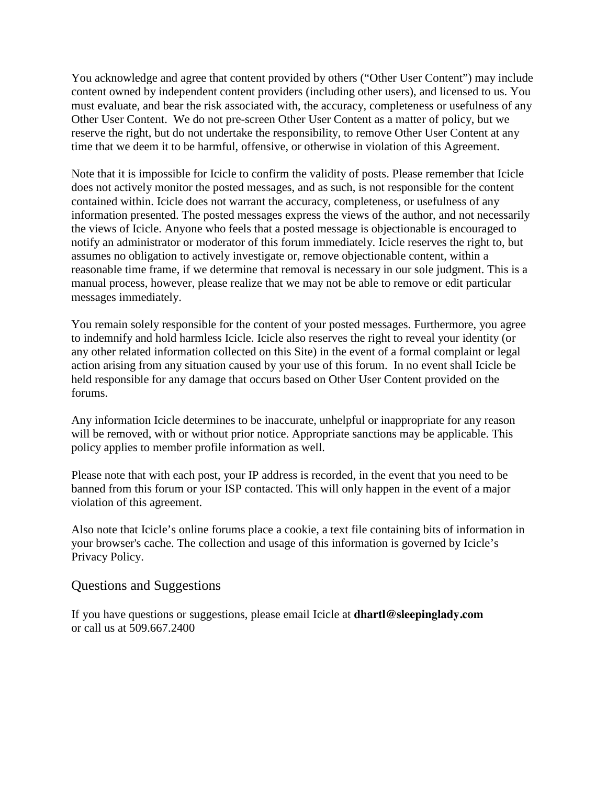You acknowledge and agree that content provided by others ("Other User Content") may include content owned by independent content providers (including other users), and licensed to us. You must evaluate, and bear the risk associated with, the accuracy, completeness or usefulness of any Other User Content. We do not pre-screen Other User Content as a matter of policy, but we reserve the right, but do not undertake the responsibility, to remove Other User Content at any time that we deem it to be harmful, offensive, or otherwise in violation of this Agreement.

Note that it is impossible for Icicle to confirm the validity of posts. Please remember that Icicle does not actively monitor the posted messages, and as such, is not responsible for the content contained within. Icicle does not warrant the accuracy, completeness, or usefulness of any information presented. The posted messages express the views of the author, and not necessarily the views of Icicle. Anyone who feels that a posted message is objectionable is encouraged to notify an administrator or moderator of this forum immediately. Icicle reserves the right to, but assumes no obligation to actively investigate or, remove objectionable content, within a reasonable time frame, if we determine that removal is necessary in our sole judgment. This is a manual process, however, please realize that we may not be able to remove or edit particular messages immediately.

You remain solely responsible for the content of your posted messages. Furthermore, you agree to indemnify and hold harmless Icicle. Icicle also reserves the right to reveal your identity (or any other related information collected on this Site) in the event of a formal complaint or legal action arising from any situation caused by your use of this forum. In no event shall Icicle be held responsible for any damage that occurs based on Other User Content provided on the forums.

Any information Icicle determines to be inaccurate, unhelpful or inappropriate for any reason will be removed, with or without prior notice. Appropriate sanctions may be applicable. This policy applies to member profile information as well.

Please note that with each post, your IP address is recorded, in the event that you need to be banned from this forum or your ISP contacted. This will only happen in the event of a major violation of this agreement.

Also note that Icicle's online forums place a cookie, a text file containing bits of information in your browser's cache. The collection and usage of this information is governed by Icicle's Privacy Policy.

#### Questions and Suggestions

If you have questions or suggestions, please email Icicle at **dhartl@sleepinglady.com** or call us at 509.667.2400